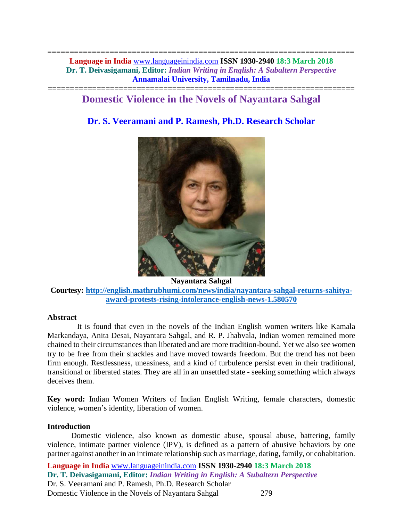===================================================================== **Language in India** [www.languageinindia.com](http://www.languageinindia.com/) **ISSN 1930-2940 18:3 March 2018 Dr. T. Deivasigamani, Editor:** *Indian Writing in English: A Subaltern Perspective* **Annamalai University, Tamilnadu, India**

# ===================================================================== **Domestic Violence in the Novels of Nayantara Sahgal**

# **Dr. S. Veeramani and P. Ramesh, Ph.D. Research Scholar**



**Nayantara Sahgal Courtesy: [http://english.mathrubhumi.com/news/india/nayantara-sahgal-returns-sahitya](http://english.mathrubhumi.com/news/india/nayantara-sahgal-returns-sahitya-award-protests-rising-intolerance-english-news-1.580570)[award-protests-rising-intolerance-english-news-1.580570](http://english.mathrubhumi.com/news/india/nayantara-sahgal-returns-sahitya-award-protests-rising-intolerance-english-news-1.580570)**

#### **Abstract**

 It is found that even in the novels of the Indian English women writers like Kamala Markandaya, Anita Desai, Nayantara Sahgal, and R. P. Jhabvala, Indian women remained more chained to their circumstances than liberated and are more tradition-bound. Yet we also see women try to be free from their shackles and have moved towards freedom. But the trend has not been firm enough. Restlessness, uneasiness, and a kind of turbulence persist even in their traditional, transitional or liberated states. They are all in an unsettled state - seeking something which always deceives them.

**Key word:** Indian Women Writers of Indian English Writing, female characters, domestic violence, women's identity, liberation of women.

### **Introduction**

Domestic violence, also known as domestic abuse, spousal abuse, battering, family violence, intimate partner violence (IPV), is defined as a pattern of abusive behaviors by one partner against another in an intimate relationship such as marriage, dating, family, or cohabitation.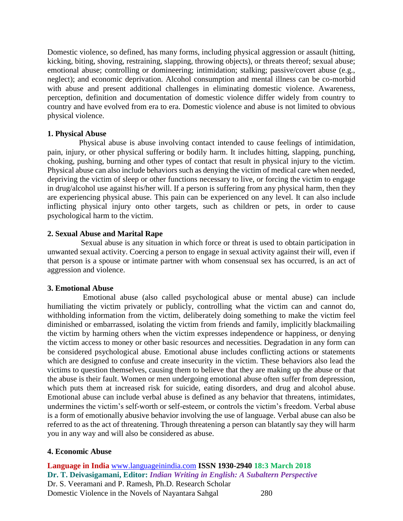Domestic violence, so defined, has many forms, including physical aggression or assault (hitting, kicking, biting, shoving, restraining, slapping, throwing objects), or threats thereof; sexual abuse; emotional abuse; controlling or domineering; intimidation; stalking; passive/covert abuse (e.g., neglect); and economic deprivation. Alcohol consumption and mental illness can be co-morbid with abuse and present additional challenges in eliminating domestic violence. Awareness, perception, definition and documentation of domestic violence differ widely from country to country and have evolved from era to era. Domestic violence and abuse is not limited to obvious physical violence.

### **1. Physical Abuse**

 Physical abuse is abuse involving contact intended to cause feelings of intimidation, pain, injury, or other physical suffering or bodily harm. It includes hitting, slapping, punching, choking, pushing, burning and other types of contact that result in physical injury to the victim. Physical abuse can also include behaviors such as denying the victim of medical care when needed, depriving the victim of sleep or other functions necessary to live, or forcing the victim to engage in drug/alcohol use against his/her will. If a person is suffering from any physical harm, then they are experiencing physical abuse. This pain can be experienced on any level. It can also include inflicting physical injury onto other targets, such as children or pets, in order to cause psychological harm to the victim.

### **2. Sexual Abuse and Marital Rape**

 Sexual abuse is any situation in which force or threat is used to obtain participation in unwanted sexual activity. Coercing a person to engage in sexual activity against their will, even if that person is a spouse or intimate partner with whom consensual sex has occurred, is an act of aggression and violence.

### **3. Emotional Abuse**

 Emotional abuse (also called psychological abuse or mental abuse) can include humiliating the victim privately or publicly, controlling what the victim can and cannot do, withholding information from the victim, deliberately doing something to make the victim feel diminished or embarrassed, isolating the victim from friends and family, implicitly blackmailing the victim by harming others when the victim expresses independence or happiness, or denying the victim access to money or other basic resources and necessities. Degradation in any form can be considered psychological abuse. Emotional abuse includes conflicting actions or statements which are designed to confuse and create insecurity in the victim. These behaviors also lead the victims to question themselves, causing them to believe that they are making up the abuse or that the abuse is their fault. Women or men undergoing emotional abuse often suffer from depression, which puts them at increased risk for suicide, eating disorders, and drug and alcohol abuse. Emotional abuse can include verbal abuse is defined as any behavior that threatens, intimidates, undermines the victim's self-worth or self-esteem, or controls the victim's freedom. Verbal abuse is a form of emotionally abusive behavior involving the use of language. Verbal abuse can also be referred to as the act of threatening. Through threatening a person can blatantly say they will harm you in any way and will also be considered as abuse.

# **4. Economic Abuse**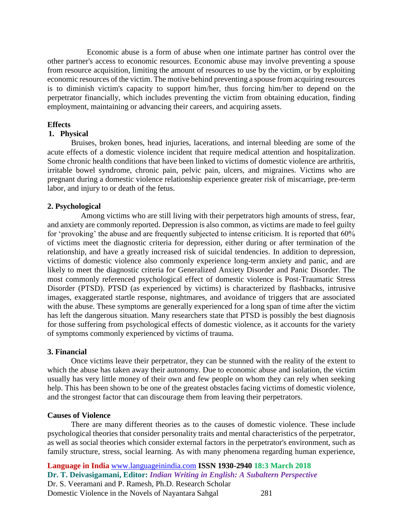Economic abuse is a form of abuse when one intimate partner has control over the other partner's access to economic resources. Economic abuse may involve preventing a spouse from resource acquisition, limiting the amount of resources to use by the victim, or by exploiting economic resources of the victim. The motive behind preventing a spouse from acquiring resources is to diminish victim's capacity to support him/her, thus forcing him/her to depend on the perpetrator financially, which includes preventing the victim from obtaining education, finding employment, maintaining or advancing their careers, and acquiring assets.

#### **Effects**

#### **1. Physical**

 Bruises, broken bones, head injuries, lacerations, and internal bleeding are some of the acute effects of a domestic violence incident that require medical attention and hospitalization. Some chronic health conditions that have been linked to victims of domestic violence are arthritis, irritable bowel syndrome, chronic pain, pelvic pain, ulcers, and migraines. Victims who are pregnant during a domestic violence relationship experience greater risk of miscarriage, pre-term labor, and injury to or death of the fetus.

#### **2. Psychological**

 Among victims who are still living with their perpetrators high amounts of stress, fear, and anxiety are commonly reported. Depression is also common, as victims are made to feel guilty for 'provoking' the abuse and are frequently subjected to intense criticism. It is reported that 60% of victims meet the diagnostic criteria for depression, either during or after termination of the relationship, and have a greatly increased risk of suicidal tendencies. In addition to depression, victims of domestic violence also commonly experience long-term anxiety and panic, and are likely to meet the diagnostic criteria for Generalized Anxiety Disorder and Panic Disorder. The most commonly referenced psychological effect of domestic violence is Post-Traumatic Stress Disorder (PTSD). PTSD (as experienced by victims) is characterized by flashbacks, intrusive images, exaggerated startle response, nightmares, and avoidance of triggers that are associated with the abuse. These symptoms are generally experienced for a long span of time after the victim has left the dangerous situation. Many researchers state that PTSD is possibly the best diagnosis for those suffering from psychological effects of domestic violence, as it accounts for the variety of symptoms commonly experienced by victims of trauma.

#### **3. Financial**

Once victims leave their perpetrator, they can be stunned with the reality of the extent to which the abuse has taken away their autonomy. Due to economic abuse and isolation, the victim usually has very little money of their own and few people on whom they can rely when seeking help. This has been shown to be one of the greatest obstacles facing victims of domestic violence, and the strongest factor that can discourage them from leaving their perpetrators.

#### **Causes of Violence**

There are many different theories as to the causes of domestic violence. These include psychological theories that consider personality traits and mental characteristics of the perpetrator, as well as social theories which consider external factors in the perpetrator's environment, such as family structure, stress, social learning. As with many phenomena regarding human experience,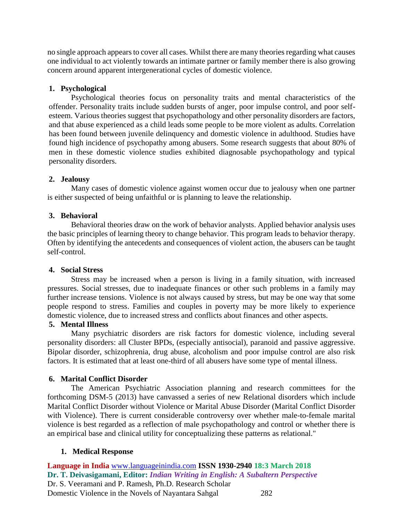no single approach appears to cover all cases. Whilst there are many theories regarding what causes one individual to act violently towards an intimate partner or family member there is also growing concern around apparent intergenerational cycles of domestic violence.

# **1. Psychological**

Psychological theories focus on personality traits and mental characteristics of the offender. Personality traits include sudden bursts of anger, poor impulse control, and poor selfesteem. Various theories suggest that psychopathology and other personality disorders are factors, and that abuse experienced as a child leads some people to be more violent as adults. Correlation has been found between juvenile delinquency and domestic violence in adulthood. Studies have found high incidence of psychopathy among abusers. Some research suggests that about 80% of men in these domestic violence studies exhibited diagnosable psychopathology and typical personality disorders.

# **2. Jealousy**

Many cases of domestic violence against women occur due to jealousy when one partner is either suspected of being unfaithful or is planning to leave the relationship.

# **3. Behavioral**

Behavioral theories draw on the work of behavior analysts. Applied behavior analysis uses the basic principles of learning theory to change behavior. This program leads to behavior therapy. Often by identifying the antecedents and consequences of violent action, the abusers can be taught self-control.

# **4. Social Stress**

Stress may be increased when a person is living in a family situation, with increased pressures. Social stresses, due to inadequate finances or other such problems in a family may further increase tensions. Violence is not always caused by stress, but may be one way that some people respond to stress. Families and couples in poverty may be more likely to experience domestic violence, due to increased stress and conflicts about finances and other aspects.

# **5. Mental Illness**

Many psychiatric disorders are risk factors for domestic violence, including several personality disorders: all Cluster BPDs, (especially antisocial), paranoid and passive aggressive. Bipolar disorder, schizophrenia, drug abuse, alcoholism and poor impulse control are also risk factors. It is estimated that at least one-third of all abusers have some type of mental illness.

# **6. Marital Conflict Disorder**

The American Psychiatric Association planning and research committees for the forthcoming DSM-5 (2013) have canvassed a series of new Relational disorders which include Marital Conflict Disorder without Violence or Marital Abuse Disorder (Marital Conflict Disorder with Violence). There is current considerable controversy over whether male-to-female marital violence is best regarded as a reflection of male psychopathology and control or whether there is an empirical base and clinical utility for conceptualizing these patterns as relational."

# **1. Medical Response**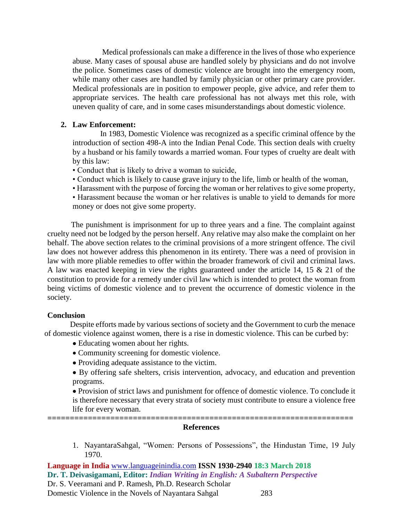Medical professionals can make a difference in the lives of those who experience abuse. Many cases of spousal abuse are handled solely by physicians and do not involve the police. Sometimes cases of domestic violence are brought into the emergency room, while many other cases are handled by family physician or other primary care provider. Medical professionals are in position to empower people, give advice, and refer them to appropriate services. The health care professional has not always met this role, with uneven quality of care, and in some cases misunderstandings about domestic violence.

### **2. Law Enforcement:**

 In 1983, Domestic Violence was recognized as a specific criminal offence by the introduction of section 498-A into the Indian Penal Code. This section deals with cruelty by a husband or his family towards a married woman. Four types of cruelty are dealt with by this law:

- Conduct that is likely to drive a woman to suicide,
- Conduct which is likely to cause grave injury to the life, limb or health of the woman,
- Harassment with the purpose of forcing the woman or her relatives to give some property,

• Harassment because the woman or her relatives is unable to yield to demands for more money or does not give some property.

The punishment is imprisonment for up to three years and a fine. The complaint against cruelty need not be lodged by the person herself. Any relative may also make the complaint on her behalf. The above section relates to the criminal provisions of a more stringent offence. The civil law does not however address this phenomenon in its entirety. There was a need of provision in law with more pliable remedies to offer within the broader framework of civil and criminal laws. A law was enacted keeping in view the rights guaranteed under the article 14, 15 & 21 of the constitution to provide for a remedy under civil law which is intended to protect the woman from being victims of domestic violence and to prevent the occurrence of domestic violence in the society.

### **Conclusion**

 Despite efforts made by various sections of society and the Government to curb the menace of domestic violence against women, there is a rise in domestic violence. This can be curbed by:

- Educating women about her rights.
- Community screening for domestic violence.
- Providing adequate assistance to the victim.
- By offering safe shelters, crisis intervention, advocacy, and education and prevention programs.

• Provision of strict laws and punishment for offence of domestic violence. To conclude it is therefore necessary that every strata of society must contribute to ensure a violence free life for every woman.

#### **==================================================================== References**

1. NayantaraSahgal, "Women: Persons of Possessions", the Hindustan Time, 19 July 1970.